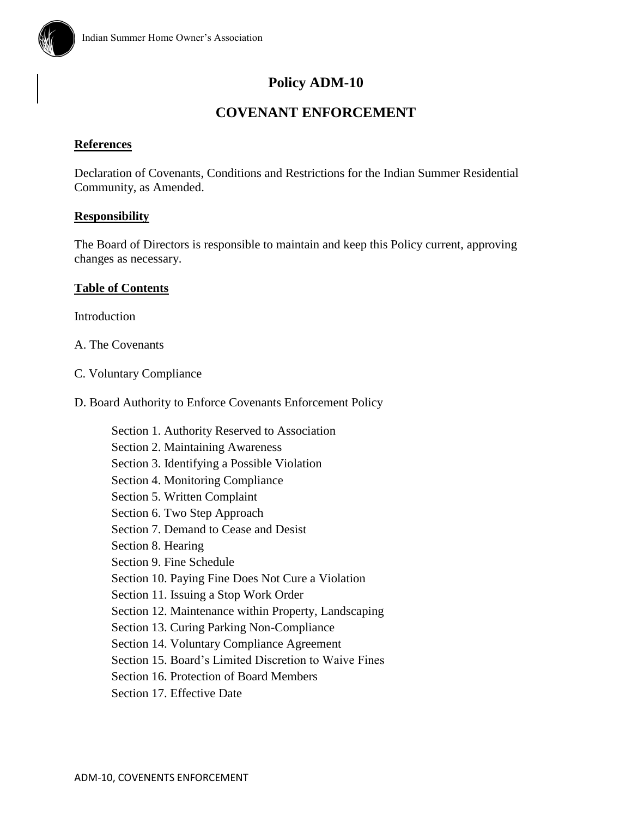

# **COVENANT ENFORCEMENT**

# **References**

Declaration of Covenants, Conditions and Restrictions for the Indian Summer Residential Community, as Amended.

# **Responsibility**

The Board of Directors is responsible to maintain and keep this Policy current, approving changes as necessary.

# **Table of Contents**

**Introduction** 

- A. The Covenants
- C. Voluntary Compliance
- D. Board Authority to Enforce Covenants Enforcement Policy

Section 1. Authority Reserved to Association Section 2. Maintaining Awareness Section 3. Identifying a Possible Violation Section 4. Monitoring Compliance Section 5. Written Complaint Section 6. Two Step Approach Section 7. Demand to Cease and Desist Section 8. Hearing Section 9. Fine Schedule Section 10. Paying Fine Does Not Cure a Violation Section 11. Issuing a Stop Work Order Section 12. Maintenance within Property, Landscaping Section 13. Curing Parking Non-Compliance Section 14. Voluntary Compliance Agreement Section 15. Board's Limited Discretion to Waive Fines Section 16. Protection of Board Members

Section 17. Effective Date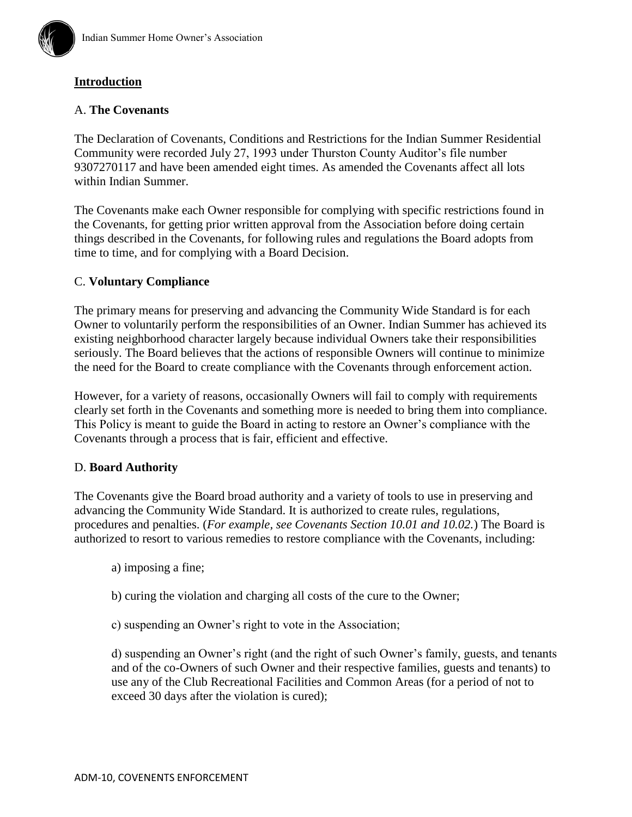

# **Introduction**

### A. **The Covenants**

The Declaration of Covenants, Conditions and Restrictions for the Indian Summer Residential Community were recorded July 27, 1993 under Thurston County Auditor's file number 9307270117 and have been amended eight times. As amended the Covenants affect all lots within Indian Summer.

The Covenants make each Owner responsible for complying with specific restrictions found in the Covenants, for getting prior written approval from the Association before doing certain things described in the Covenants, for following rules and regulations the Board adopts from time to time, and for complying with a Board Decision.

#### C. **Voluntary Compliance**

The primary means for preserving and advancing the Community Wide Standard is for each Owner to voluntarily perform the responsibilities of an Owner. Indian Summer has achieved its existing neighborhood character largely because individual Owners take their responsibilities seriously. The Board believes that the actions of responsible Owners will continue to minimize the need for the Board to create compliance with the Covenants through enforcement action.

However, for a variety of reasons, occasionally Owners will fail to comply with requirements clearly set forth in the Covenants and something more is needed to bring them into compliance. This Policy is meant to guide the Board in acting to restore an Owner's compliance with the Covenants through a process that is fair, efficient and effective.

#### D. **Board Authority**

The Covenants give the Board broad authority and a variety of tools to use in preserving and advancing the Community Wide Standard. It is authorized to create rules, regulations, procedures and penalties. (*For example, see Covenants Section 10.01 and 10.02.*) The Board is authorized to resort to various remedies to restore compliance with the Covenants, including:

- a) imposing a fine;
- b) curing the violation and charging all costs of the cure to the Owner;
- c) suspending an Owner's right to vote in the Association;

d) suspending an Owner's right (and the right of such Owner's family, guests, and tenants and of the co-Owners of such Owner and their respective families, guests and tenants) to use any of the Club Recreational Facilities and Common Areas (for a period of not to exceed 30 days after the violation is cured);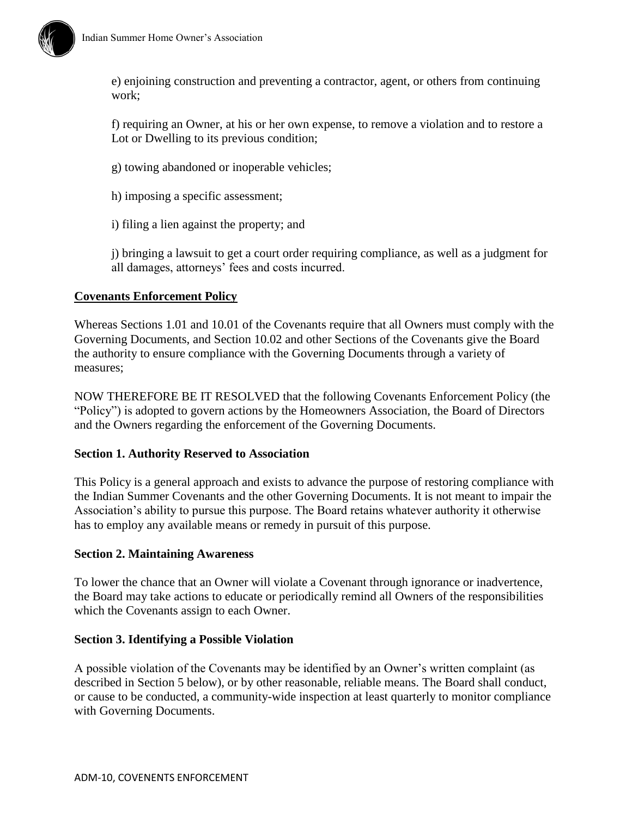

e) enjoining construction and preventing a contractor, agent, or others from continuing work;

f) requiring an Owner, at his or her own expense, to remove a violation and to restore a Lot or Dwelling to its previous condition;

- g) towing abandoned or inoperable vehicles;
- h) imposing a specific assessment;
- i) filing a lien against the property; and

j) bringing a lawsuit to get a court order requiring compliance, as well as a judgment for all damages, attorneys' fees and costs incurred.

#### **Covenants Enforcement Policy**

Whereas Sections 1.01 and 10.01 of the Covenants require that all Owners must comply with the Governing Documents, and Section 10.02 and other Sections of the Covenants give the Board the authority to ensure compliance with the Governing Documents through a variety of measures;

NOW THEREFORE BE IT RESOLVED that the following Covenants Enforcement Policy (the "Policy") is adopted to govern actions by the Homeowners Association, the Board of Directors and the Owners regarding the enforcement of the Governing Documents.

#### **Section 1. Authority Reserved to Association**

This Policy is a general approach and exists to advance the purpose of restoring compliance with the Indian Summer Covenants and the other Governing Documents. It is not meant to impair the Association's ability to pursue this purpose. The Board retains whatever authority it otherwise has to employ any available means or remedy in pursuit of this purpose.

#### **Section 2. Maintaining Awareness**

To lower the chance that an Owner will violate a Covenant through ignorance or inadvertence, the Board may take actions to educate or periodically remind all Owners of the responsibilities which the Covenants assign to each Owner.

#### **Section 3. Identifying a Possible Violation**

A possible violation of the Covenants may be identified by an Owner's written complaint (as described in Section 5 below), or by other reasonable, reliable means. The Board shall conduct, or cause to be conducted, a community-wide inspection at least quarterly to monitor compliance with Governing Documents.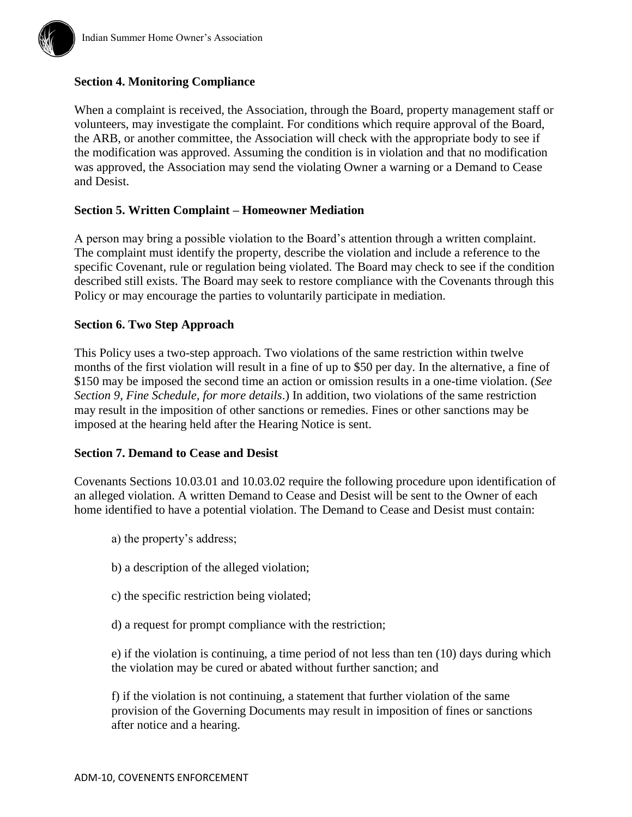# **Section 4. Monitoring Compliance**

When a complaint is received, the Association, through the Board, property management staff or volunteers, may investigate the complaint. For conditions which require approval of the Board, the ARB, or another committee, the Association will check with the appropriate body to see if the modification was approved. Assuming the condition is in violation and that no modification was approved, the Association may send the violating Owner a warning or a Demand to Cease and Desist.

# **Section 5. Written Complaint – Homeowner Mediation**

A person may bring a possible violation to the Board's attention through a written complaint. The complaint must identify the property, describe the violation and include a reference to the specific Covenant, rule or regulation being violated. The Board may check to see if the condition described still exists. The Board may seek to restore compliance with the Covenants through this Policy or may encourage the parties to voluntarily participate in mediation.

#### **Section 6. Two Step Approach**

This Policy uses a two-step approach. Two violations of the same restriction within twelve months of the first violation will result in a fine of up to \$50 per day. In the alternative, a fine of \$150 may be imposed the second time an action or omission results in a one-time violation. (*See Section 9, Fine Schedule, for more details*.) In addition, two violations of the same restriction may result in the imposition of other sanctions or remedies. Fines or other sanctions may be imposed at the hearing held after the Hearing Notice is sent.

#### **Section 7. Demand to Cease and Desist**

Covenants Sections 10.03.01 and 10.03.02 require the following procedure upon identification of an alleged violation. A written Demand to Cease and Desist will be sent to the Owner of each home identified to have a potential violation. The Demand to Cease and Desist must contain:

- a) the property's address;
- b) a description of the alleged violation;
- c) the specific restriction being violated;
- d) a request for prompt compliance with the restriction;

e) if the violation is continuing, a time period of not less than ten (10) days during which the violation may be cured or abated without further sanction; and

f) if the violation is not continuing, a statement that further violation of the same provision of the Governing Documents may result in imposition of fines or sanctions after notice and a hearing.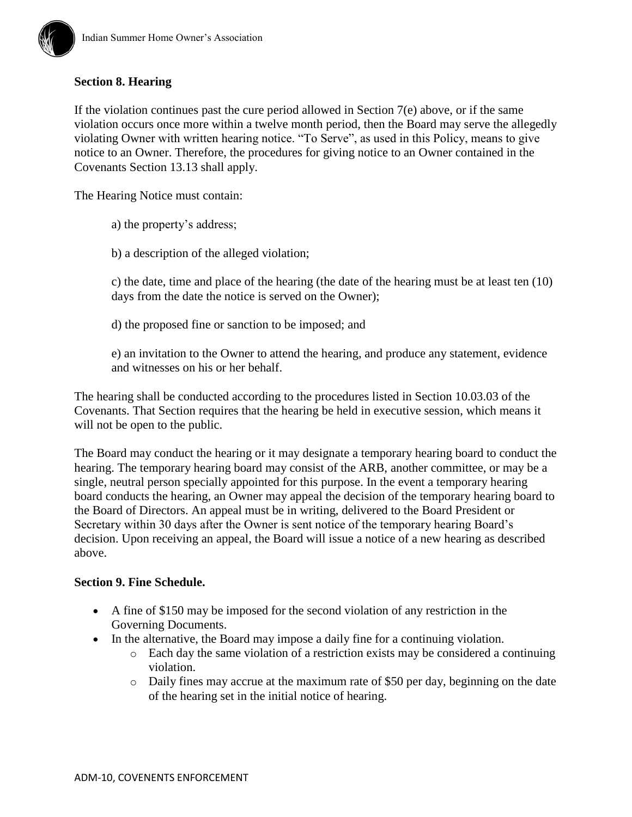

# **Section 8. Hearing**

If the violation continues past the cure period allowed in Section 7(e) above, or if the same violation occurs once more within a twelve month period, then the Board may serve the allegedly violating Owner with written hearing notice. "To Serve", as used in this Policy, means to give notice to an Owner. Therefore, the procedures for giving notice to an Owner contained in the Covenants Section 13.13 shall apply.

The Hearing Notice must contain:

a) the property's address;

b) a description of the alleged violation;

c) the date, time and place of the hearing (the date of the hearing must be at least ten (10) days from the date the notice is served on the Owner);

d) the proposed fine or sanction to be imposed; and

e) an invitation to the Owner to attend the hearing, and produce any statement, evidence and witnesses on his or her behalf.

The hearing shall be conducted according to the procedures listed in Section 10.03.03 of the Covenants. That Section requires that the hearing be held in executive session, which means it will not be open to the public.

The Board may conduct the hearing or it may designate a temporary hearing board to conduct the hearing. The temporary hearing board may consist of the ARB, another committee, or may be a single, neutral person specially appointed for this purpose. In the event a temporary hearing board conducts the hearing, an Owner may appeal the decision of the temporary hearing board to the Board of Directors. An appeal must be in writing, delivered to the Board President or Secretary within 30 days after the Owner is sent notice of the temporary hearing Board's decision. Upon receiving an appeal, the Board will issue a notice of a new hearing as described above.

# **Section 9. Fine Schedule.**

- A fine of \$150 may be imposed for the second violation of any restriction in the Governing Documents.
- In the alternative, the Board may impose a daily fine for a continuing violation.
	- o Each day the same violation of a restriction exists may be considered a continuing violation.
	- o Daily fines may accrue at the maximum rate of \$50 per day, beginning on the date of the hearing set in the initial notice of hearing.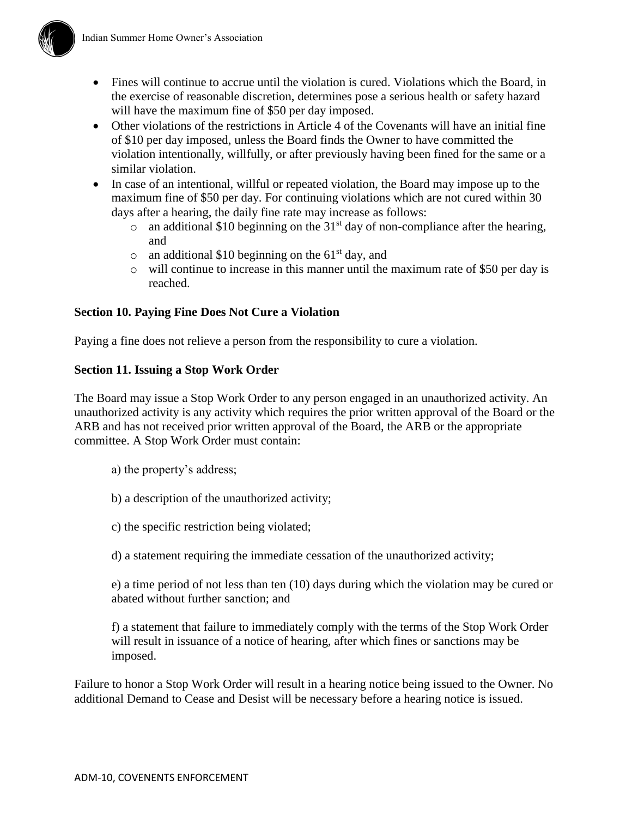

- Fines will continue to accrue until the violation is cured. Violations which the Board, in the exercise of reasonable discretion, determines pose a serious health or safety hazard will have the maximum fine of \$50 per day imposed.
- Other violations of the restrictions in Article 4 of the Covenants will have an initial fine of \$10 per day imposed, unless the Board finds the Owner to have committed the violation intentionally, willfully, or after previously having been fined for the same or a similar violation.
- In case of an intentional, willful or repeated violation, the Board may impose up to the maximum fine of \$50 per day. For continuing violations which are not cured within 30 days after a hearing, the daily fine rate may increase as follows:
	- $\circ$  an additional \$10 beginning on the 31<sup>st</sup> day of non-compliance after the hearing, and
	- $\circ$  an additional \$10 beginning on the 61<sup>st</sup> day, and
	- o will continue to increase in this manner until the maximum rate of \$50 per day is reached.

# **Section 10. Paying Fine Does Not Cure a Violation**

Paying a fine does not relieve a person from the responsibility to cure a violation.

# **Section 11. Issuing a Stop Work Order**

The Board may issue a Stop Work Order to any person engaged in an unauthorized activity. An unauthorized activity is any activity which requires the prior written approval of the Board or the ARB and has not received prior written approval of the Board, the ARB or the appropriate committee. A Stop Work Order must contain:

- a) the property's address;
- b) a description of the unauthorized activity;
- c) the specific restriction being violated;
- d) a statement requiring the immediate cessation of the unauthorized activity;

e) a time period of not less than ten (10) days during which the violation may be cured or abated without further sanction; and

f) a statement that failure to immediately comply with the terms of the Stop Work Order will result in issuance of a notice of hearing, after which fines or sanctions may be imposed.

Failure to honor a Stop Work Order will result in a hearing notice being issued to the Owner. No additional Demand to Cease and Desist will be necessary before a hearing notice is issued.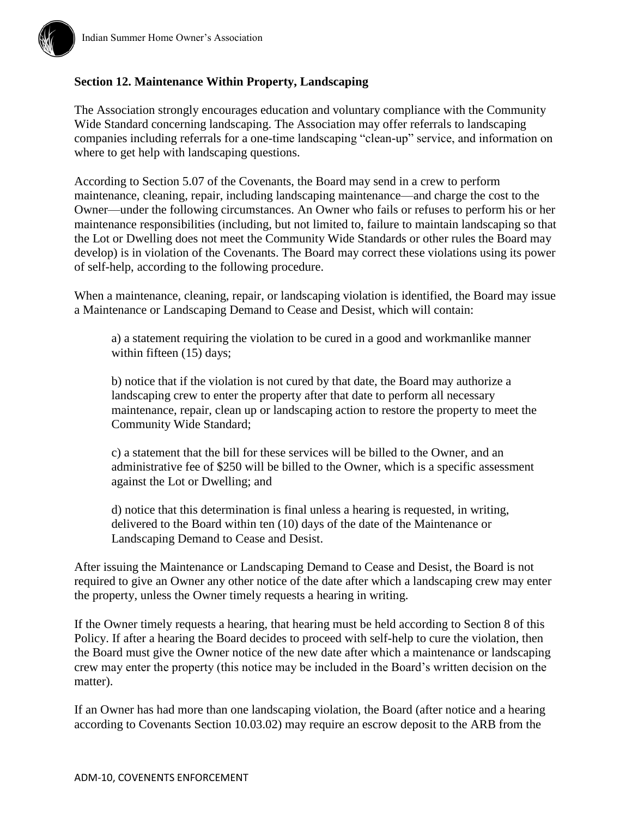

# **Section 12. Maintenance Within Property, Landscaping**

The Association strongly encourages education and voluntary compliance with the Community Wide Standard concerning landscaping. The Association may offer referrals to landscaping companies including referrals for a one-time landscaping "clean-up" service, and information on where to get help with landscaping questions.

According to Section 5.07 of the Covenants, the Board may send in a crew to perform maintenance, cleaning, repair, including landscaping maintenance—and charge the cost to the Owner—under the following circumstances. An Owner who fails or refuses to perform his or her maintenance responsibilities (including, but not limited to, failure to maintain landscaping so that the Lot or Dwelling does not meet the Community Wide Standards or other rules the Board may develop) is in violation of the Covenants. The Board may correct these violations using its power of self-help, according to the following procedure.

When a maintenance, cleaning, repair, or landscaping violation is identified, the Board may issue a Maintenance or Landscaping Demand to Cease and Desist, which will contain:

a) a statement requiring the violation to be cured in a good and workmanlike manner within fifteen (15) days;

b) notice that if the violation is not cured by that date, the Board may authorize a landscaping crew to enter the property after that date to perform all necessary maintenance, repair, clean up or landscaping action to restore the property to meet the Community Wide Standard;

c) a statement that the bill for these services will be billed to the Owner, and an administrative fee of \$250 will be billed to the Owner, which is a specific assessment against the Lot or Dwelling; and

d) notice that this determination is final unless a hearing is requested, in writing, delivered to the Board within ten (10) days of the date of the Maintenance or Landscaping Demand to Cease and Desist.

After issuing the Maintenance or Landscaping Demand to Cease and Desist, the Board is not required to give an Owner any other notice of the date after which a landscaping crew may enter the property, unless the Owner timely requests a hearing in writing.

If the Owner timely requests a hearing, that hearing must be held according to Section 8 of this Policy. If after a hearing the Board decides to proceed with self-help to cure the violation, then the Board must give the Owner notice of the new date after which a maintenance or landscaping crew may enter the property (this notice may be included in the Board's written decision on the matter).

If an Owner has had more than one landscaping violation, the Board (after notice and a hearing according to Covenants Section 10.03.02) may require an escrow deposit to the ARB from the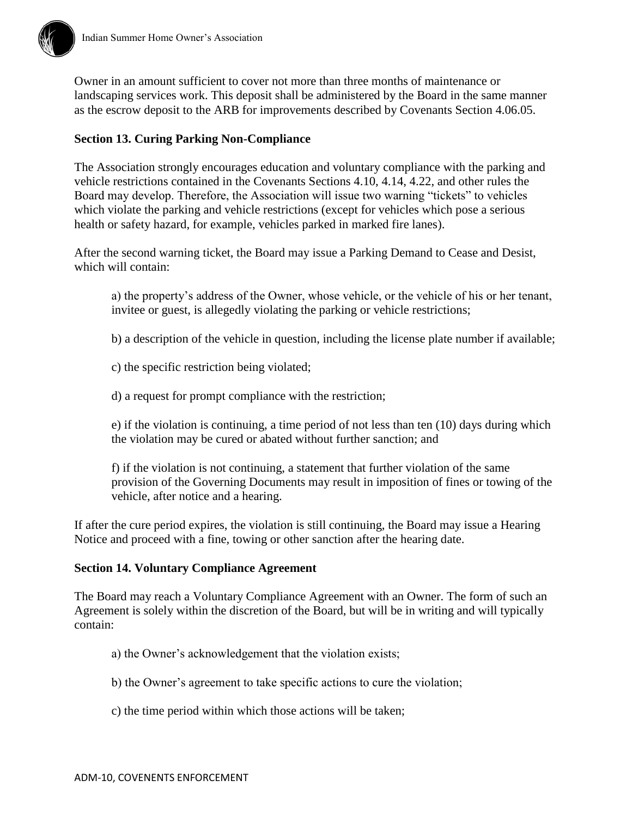

# **Section 13. Curing Parking Non-Compliance**

The Association strongly encourages education and voluntary compliance with the parking and vehicle restrictions contained in the Covenants Sections 4.10, 4.14, 4.22, and other rules the Board may develop. Therefore, the Association will issue two warning "tickets" to vehicles which violate the parking and vehicle restrictions (except for vehicles which pose a serious health or safety hazard, for example, vehicles parked in marked fire lanes).

After the second warning ticket, the Board may issue a Parking Demand to Cease and Desist, which will contain:

a) the property's address of the Owner, whose vehicle, or the vehicle of his or her tenant, invitee or guest, is allegedly violating the parking or vehicle restrictions;

b) a description of the vehicle in question, including the license plate number if available;

- c) the specific restriction being violated;
- d) a request for prompt compliance with the restriction;

e) if the violation is continuing, a time period of not less than ten (10) days during which the violation may be cured or abated without further sanction; and

f) if the violation is not continuing, a statement that further violation of the same provision of the Governing Documents may result in imposition of fines or towing of the vehicle, after notice and a hearing.

If after the cure period expires, the violation is still continuing, the Board may issue a Hearing Notice and proceed with a fine, towing or other sanction after the hearing date.

#### **Section 14. Voluntary Compliance Agreement**

The Board may reach a Voluntary Compliance Agreement with an Owner. The form of such an Agreement is solely within the discretion of the Board, but will be in writing and will typically contain:

- a) the Owner's acknowledgement that the violation exists;
- b) the Owner's agreement to take specific actions to cure the violation;
- c) the time period within which those actions will be taken;